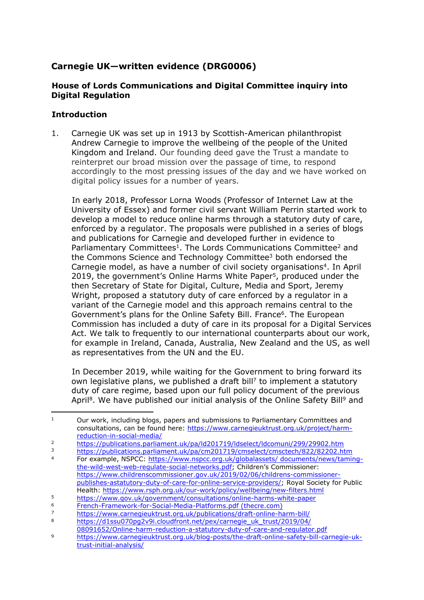# **Carnegie UK—written evidence (DRG0006)**

## **House of Lords Communications and Digital Committee inquiry into Digital Regulation**

## **Introduction**

1. Carnegie UK was set up in 1913 by Scottish-American philanthropist Andrew Carnegie to improve the wellbeing of the people of the United Kingdom and Ireland. Our founding deed gave the Trust a mandate to reinterpret our broad mission over the passage of time, to respond accordingly to the most pressing issues of the day and we have worked on digital policy issues for a number of years.

In early 2018, Professor Lorna Woods (Professor of Internet Law at the University of Essex) and former civil servant William Perrin started work to develop a model to reduce online harms through a statutory duty of care, enforced by a regulator. The proposals were published in a series of blogs and publications for Carnegie and developed further in evidence to Parliamentary Committees<sup>1</sup>. The Lords Communications Committee<sup>2</sup> and the Commons Science and Technology Committee<sup>3</sup> both endorsed the Carnegie model, as have a number of civil society organisations<sup>4</sup>. In April 2019, the government's Online Harms White Paper<sup>5</sup>, produced under the then Secretary of State for Digital, Culture, Media and Sport, Jeremy Wright, proposed a statutory duty of care enforced by a regulator in a variant of the Carnegie model and this approach remains central to the Government's plans for the Online Safety Bill. France<sup>6</sup>. The European Commission has included a duty of care in its proposal for a Digital Services Act. We talk to frequently to our international counterparts about our work, for example in Ireland, Canada, Australia, New Zealand and the US, as well as representatives from the UN and the EU.

In December 2019, while waiting for the Government to bring forward its own legislative plans, we published a draft bill<sup>7</sup> to implement a statutory duty of care regime, based upon our full policy document of the previous April<sup>8</sup>. We have published our initial analysis of the Online Safety Bill<sup>9</sup> and

 $1$  Our work, including blogs, papers and submissions to Parliamentary Committees and consultations, can be found here: [https://www.carnegieuktrust.org.uk/project/harm](https://www.carnegieuktrust.org.uk/project/harm-reduction-in-social-media/)[reduction-in-social-media/](https://www.carnegieuktrust.org.uk/project/harm-reduction-in-social-media/)

<sup>&</sup>lt;sup>2</sup> <https://publications.parliament.uk/pa/ld201719/ldselect/ldcomuni/299/29902.htm><br>https://publications.parliament.uk/pa/cm201710/cmcelect/cmcetech/822/82202.htm

<sup>&</sup>lt;sup>3</sup> <https://publications.parliament.uk/pa/cm201719/cmselect/cmsctech/822/82202.htm><br><sup>4</sup> East example. NSBCC: https://www.pcpcc.org.uk/globalaceote/.documents/powe/tami For example, NSPCC: [https://www.nspcc.org.uk/globalassets/](https://www.nspcc.org.uk/globalassets/%20documents/news/taming-the-wild-west-web-regulate-social-networks.pdf) [documents/news/taming](https://www.nspcc.org.uk/globalassets/%20documents/news/taming-the-wild-west-web-regulate-social-networks.pdf)[the-wild-west-web-regulate-social-networks.pdf;](https://www.nspcc.org.uk/globalassets/%20documents/news/taming-the-wild-west-web-regulate-social-networks.pdf) Children's Commissioner: [https://www.childrenscommissioner.gov.uk/2019/02/06/childrens-commissioner](https://www.childrenscommissioner.gov.uk/2019/02/06/childrens-commissioner-publishes-astatutory-duty-of-care-for-online-service-providers/)[publishes-astatutory-duty-of-care-for-online-service-providers/;](https://www.childrenscommissioner.gov.uk/2019/02/06/childrens-commissioner-publishes-astatutory-duty-of-care-for-online-service-providers/) Royal Society for Public

Health: <https://www.rsph.org.uk/our-work/policy/wellbeing/new-filters.html> <sup>5</sup> <https://www.gov.uk/government/consultations/online-harms-white-paper>

<sup>6</sup> [French-Framework-for-Social-Media-Platforms.pdf](http://thecre.com/RegSM/wp-content/uploads/2019/05/French-Framework-for-Social-Media-Platforms.pdf) [\(thecre.com\)](http://thecre.com/RegSM/wp-content/uploads/2019/05/French-Framework-for-Social-Media-Platforms.pdf) 7 <https://www.carnegieuktrust.org.uk/publications/draft-online-harm-bill/><br>8 https://d1ssu070pg2y9i.cloudfront.pot/pox/carnogio\_uk\_trust/2019/04/

[https://d1ssu070pg2v9i.cloudfront.net/pex/carnegie\\_uk\\_trust/2019/04/](https://d1ssu070pg2v9i.cloudfront.net/pex/carnegie_uk_trust/2019/04/08091652/Online-harm-reduction-a-statutory-duty-of-care-and-regulator.pdf)

[<sup>08091652/</sup>Online-harm-reduction-a-statutory-duty-of-care-and-regulator.pdf](https://d1ssu070pg2v9i.cloudfront.net/pex/carnegie_uk_trust/2019/04/08091652/Online-harm-reduction-a-statutory-duty-of-care-and-regulator.pdf)

<sup>9</sup> [https://www.carnegieuktrust.org.uk/blog-posts/the-draft-online-safety-bill-carnegie-uk](https://www.carnegieuktrust.org.uk/blog-posts/the-draft-online-safety-bill-carnegie-uk-trust-initial-analysis/)[trust-initial-analysis/](https://www.carnegieuktrust.org.uk/blog-posts/the-draft-online-safety-bill-carnegie-uk-trust-initial-analysis/)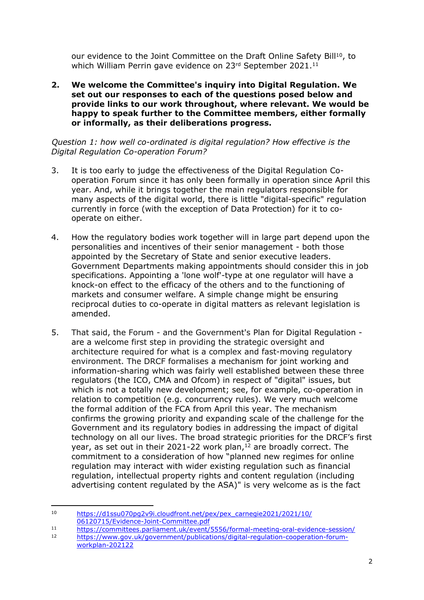our evidence to the Joint Committee on the Draft Online Safety Bill<sup>10</sup>, to which William Perrin gave evidence on 23rd September 2021.<sup>11</sup>

**2. We welcome the Committee's inquiry into Digital Regulation. We set out our responses to each of the questions posed below and provide links to our work throughout, where relevant. We would be happy to speak further to the Committee members, either formally or informally, as their deliberations progress.**

*Question 1: how well co-ordinated is digital regulation? How effective is the Digital Regulation Co-operation Forum?*

- 3. It is too early to judge the effectiveness of the Digital Regulation Cooperation Forum since it has only been formally in operation since April this year. And, while it brings together the main regulators responsible for many aspects of the digital world, there is little "digital-specific" regulation currently in force (with the exception of Data Protection) for it to cooperate on either.
- 4. How the regulatory bodies work together will in large part depend upon the personalities and incentives of their senior management - both those appointed by the Secretary of State and senior executive leaders. Government Departments making appointments should consider this in job specifications. Appointing a 'lone wolf'-type at one regulator will have a knock-on effect to the efficacy of the others and to the functioning of markets and consumer welfare. A simple change might be ensuring reciprocal duties to co-operate in digital matters as relevant legislation is amended.
- 5. That said, the Forum and the Government's Plan for Digital Regulation are a welcome first step in providing the strategic oversight and architecture required for what is a complex and fast-moving regulatory environment. The DRCF formalises a mechanism for joint working and information-sharing which was fairly well established between these three regulators (the ICO, CMA and Ofcom) in respect of "digital" issues, but which is not a totally new development; see, for example, co-operation in relation to competition (e.g. concurrency rules). We very much welcome the formal addition of the FCA from April this year. The mechanism confirms the growing priority and expanding scale of the challenge for the Government and its regulatory bodies in addressing the impact of digital technology on all our lives. The broad strategic priorities for the DRCF's first year, as set out in their 2021-22 work plan,<sup>12</sup> are broadly correct. The commitment to a consideration of how "planned new regimes for online regulation may interact with wider existing regulation such as financial regulation, intellectual property rights and content regulation (including advertising content regulated by the ASA)" is very welcome as is the fact

<sup>10</sup> [https://d1ssu070pg2v9i.cloudfront.net/pex/pex\\_carnegie2021/2021/10/](https://d1ssu070pg2v9i.cloudfront.net/pex/pex_carnegie2021/2021/10/06120715/Evidence-Joint-Committee.pdf) [06120715/Evidence-Joint-Committee.pdf](https://d1ssu070pg2v9i.cloudfront.net/pex/pex_carnegie2021/2021/10/06120715/Evidence-Joint-Committee.pdf)

<sup>11</sup> <https://committees.parliament.uk/event/5556/formal-meeting-oral-evidence-session/><br>12 https://www.gov.uk/government/publications/digital-regulation-cooperation-forum-

[https://www.gov.uk/government/publications/digital-regulation-cooperation-forum](https://www.gov.uk/government/publications/digital-regulation-cooperation-forum-workplan-202122)[workplan-202122](https://www.gov.uk/government/publications/digital-regulation-cooperation-forum-workplan-202122)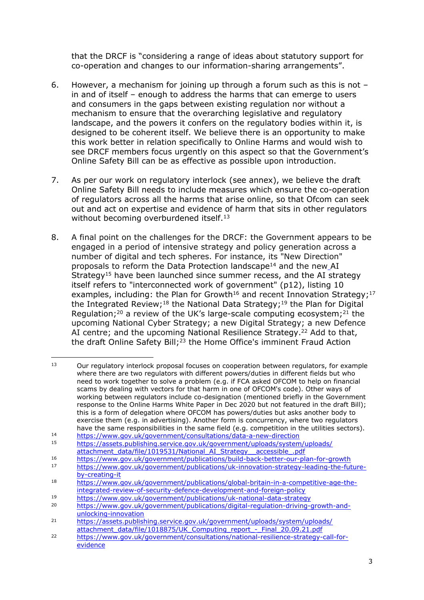that the DRCF is "considering a range of ideas about statutory support for co-operation and changes to our information-sharing arrangements".

- 6. However, a mechanism for joining up through a forum such as this is not in and of itself – enough to address the harms that can emerge to users and consumers in the gaps between existing regulation nor without a mechanism to ensure that the overarching legislative and regulatory landscape, and the powers it confers on the regulatory bodies within it, is designed to be coherent itself. We believe there is an opportunity to make this work better in relation specifically to Online Harms and would wish to see DRCF members focus urgently on this aspect so that the Government's Online Safety Bill can be as effective as possible upon introduction.
- 7. As per our work on regulatory interlock (see annex), we believe the draft Online Safety Bill needs to include measures which ensure the co-operation of regulators across all the harms that arise online, so that Ofcom can seek out and act on expertise and evidence of harm that sits in other regulators without becoming overburdened itself.<sup>13</sup>
- 8. A final point on the challenges for the DRCF: the Government appears to be engaged in a period of intensive strategy and policy generation across a number of digital and tech spheres. For instance, its "New Direction" proposals to reform the Data Protection landscape<sup>14</sup> and the new AI Strategy<sup>15</sup> have been launched since summer recess, and the AI strategy itself refers to "interconnected work of government" (p12), listing 10 examples, including: the Plan for Growth<sup>16</sup> and recent Innovation Strategy;<sup>17</sup> the Integrated Review;<sup>18</sup> the National Data Strategy;<sup>19</sup> the Plan for Digital Regulation;<sup>20</sup> a review of the UK's large-scale computing ecosystem;<sup>21</sup> the upcoming National Cyber Strategy; a new Digital Strategy; a new Defence AI centre; and the upcoming National Resilience Strategy.<sup>22</sup> Add to that, the draft Online Safety Bill;<sup>23</sup> the Home Office's imminent Fraud Action

 $13$  Our regulatory interlock proposal focuses on cooperation between regulators, for example where there are two regulators with different powers/duties in different fields but who need to work together to solve a problem (e.g. if FCA asked OFCOM to help on financial scams by dealing with vectors for that harm in one of OFCOM's code). Other ways of working between regulators include co-designation (mentioned briefly in the Government response to the Online Harms White Paper in Dec 2020 but not featured in the draft Bill); this is a form of delegation where OFCOM has powers/duties but asks another body to exercise them (e.g. in advertising). Another form is concurrency, where two regulators have the same responsibilities in the same field (e.g. competition in the utilities sectors).

<sup>14</sup> <https://www.gov.uk/government/consultations/data-a-new-direction><br>15 https://accets.publicbing.consise.gov.uk/government/uploads/ovetom

<sup>15</sup> [https://assets.publishing.service.gov.uk/government/uploads/system/uploads/](https://assets.publishing.service.gov.uk/government/uploads/system/uploads/attachment_data/file/1019531/National_AI_Strategy__accessible_.pdf) [attachment\\_data/file/1019531/National\\_AI\\_Strategy\\_\\_accessible\\_.pdf](https://assets.publishing.service.gov.uk/government/uploads/system/uploads/attachment_data/file/1019531/National_AI_Strategy__accessible_.pdf)

<sup>16</sup> <https://www.gov.uk/government/publications/build-back-better-our-plan-for-growth>

[https://www.gov.uk/government/publications/uk-innovation-strategy-leading-the-future](https://www.gov.uk/government/publications/uk-innovation-strategy-leading-the-future-by-creating-it)[by-creating-it](https://www.gov.uk/government/publications/uk-innovation-strategy-leading-the-future-by-creating-it)

<sup>18</sup> [https://www.gov.uk/government/publications/global-britain-in-a-competitive-age-the](https://www.gov.uk/government/publications/global-britain-in-a-competitive-age-the-integrated-review-of-security-defence-development-and-foreign-policy)[integrated-review-of-security-defence-development-and-foreign-policy](https://www.gov.uk/government/publications/global-britain-in-a-competitive-age-the-integrated-review-of-security-defence-development-and-foreign-policy)

<sup>19</sup> <https://www.gov.uk/government/publications/uk-national-data-strategy>

<sup>20</sup> [https://www.gov.uk/government/publications/digital-regulation-driving-growth-and](https://www.gov.uk/government/publications/digital-regulation-driving-growth-and-unlocking-innovation)[unlocking-innovation](https://www.gov.uk/government/publications/digital-regulation-driving-growth-and-unlocking-innovation)

<sup>21</sup> [https://assets.publishing.service.gov.uk/government/uploads/system/uploads/](https://assets.publishing.service.gov.uk/government/uploads/system/uploads/attachment_data/file/1018875/UK_Computing_report_-_Final_20.09.21.pdf) [attachment\\_data/file/1018875/UK\\_Computing\\_report\\_-\\_Final\\_20.09.21.pdf](https://assets.publishing.service.gov.uk/government/uploads/system/uploads/attachment_data/file/1018875/UK_Computing_report_-_Final_20.09.21.pdf)

<sup>22</sup> [https://www.gov.uk/government/consultations/national-resilience-strategy-call-for](https://www.gov.uk/government/consultations/national-resilience-strategy-call-for-evidence)[evidence](https://www.gov.uk/government/consultations/national-resilience-strategy-call-for-evidence)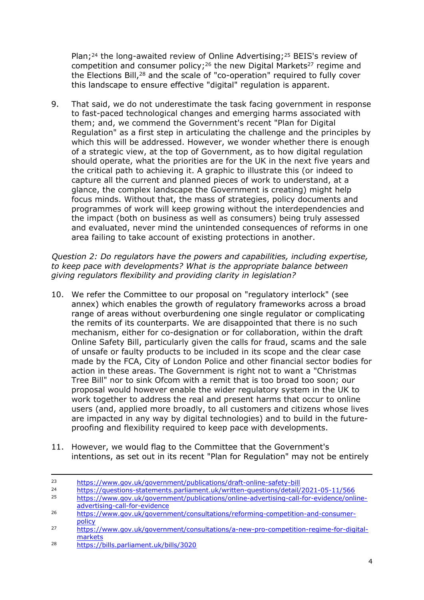Plan;<sup>24</sup> the long-awaited review of Online Advertising;<sup>25</sup> BEIS's review of competition and consumer policy;<sup>26</sup> the new Digital Markets<sup>27</sup> regime and the Elections Bill,<sup>28</sup> and the scale of "co-operation" required to fully cover this landscape to ensure effective "digital" regulation is apparent.

9. That said, we do not underestimate the task facing government in response to fast-paced technological changes and emerging harms associated with them; and, we commend the Government's recent "Plan for Digital Regulation" as a first step in articulating the challenge and the principles by which this will be addressed. However, we wonder whether there is enough of a strategic view, at the top of Government, as to how digital regulation should operate, what the priorities are for the UK in the next five years and the critical path to achieving it. A graphic to illustrate this (or indeed to capture all the current and planned pieces of work to understand, at a glance, the complex landscape the Government is creating) might help focus minds. Without that, the mass of strategies, policy documents and programmes of work will keep growing without the interdependencies and the impact (both on business as well as consumers) being truly assessed and evaluated, never mind the unintended consequences of reforms in one area failing to take account of existing protections in another.

*Question 2: Do regulators have the powers and capabilities, including expertise, to keep pace with developments? What is the appropriate balance between giving regulators flexibility and providing clarity in legislation?*

- 10. We refer the Committee to our proposal on "regulatory interlock" (see annex) which enables the growth of regulatory frameworks across a broad range of areas without overburdening one single regulator or complicating the remits of its counterparts. We are disappointed that there is no such mechanism, either for co-designation or for collaboration, within the draft Online Safety Bill, particularly given the calls for fraud, scams and the sale of unsafe or faulty products to be included in its scope and the clear case made by the FCA, City of London Police and other financial sector bodies for action in these areas. The Government is right not to want a "Christmas Tree Bill" nor to sink Ofcom with a remit that is too broad too soon; our proposal would however enable the wider regulatory system in the UK to work together to address the real and present harms that occur to online users (and, applied more broadly, to all customers and citizens whose lives are impacted in any way by digital technologies) and to build in the futureproofing and flexibility required to keep pace with developments.
- 11. However, we would flag to the Committee that the Government's intentions, as set out in its recent "Plan for Regulation" may not be entirely

<sup>23</sup> <https://www.gov.uk/government/publications/draft-online-safety-bill>

<sup>&</sup>lt;sup>24</sup> <https://questions-statements.parliament.uk/written-questions/detail/2021-05-11/566><br>https://www.gov.uk/government/publications/online\_advertising\_call\_for\_ovidence/online

<sup>25</sup> [https://www.gov.uk/government/publications/online-advertising-call-for-evidence/online](https://www.gov.uk/government/publications/online-advertising-call-for-evidence/online-advertising-call-for-evidence)[advertising-call-for-evidence](https://www.gov.uk/government/publications/online-advertising-call-for-evidence/online-advertising-call-for-evidence)

<sup>26</sup> [https://www.gov.uk/government/consultations/reforming-competition-and-consumer](https://www.gov.uk/government/consultations/reforming-competition-and-consumer-policy)[policy](https://www.gov.uk/government/consultations/reforming-competition-and-consumer-policy)

<sup>27</sup> [https://www.gov.uk/government/consultations/a-new-pro-competition-regime-for-digital](https://www.gov.uk/government/consultations/a-new-pro-competition-regime-for-digital-markets)[markets](https://www.gov.uk/government/consultations/a-new-pro-competition-regime-for-digital-markets)

<sup>28</sup> <https://bills.parliament.uk/bills/3020>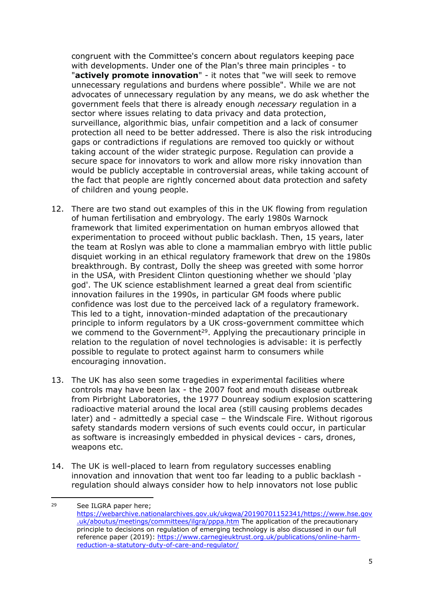congruent with the Committee's concern about regulators keeping pace with developments. Under one of the Plan's three main principles - to "**actively promote innovation**" - it notes that "we will seek to remove unnecessary regulations and burdens where possible". While we are not advocates of unnecessary regulation by any means, we do ask whether the government feels that there is already enough *necessary* regulation in a sector where issues relating to data privacy and data protection, surveillance, algorithmic bias, unfair competition and a lack of consumer protection all need to be better addressed. There is also the risk introducing gaps or contradictions if regulations are removed too quickly or without taking account of the wider strategic purpose. Regulation can provide a secure space for innovators to work and allow more risky innovation than would be publicly acceptable in controversial areas, while taking account of the fact that people are rightly concerned about data protection and safety of children and young people.

- 12. There are two stand out examples of this in the UK flowing from regulation of human fertilisation and embryology. The early 1980s Warnock framework that limited experimentation on human embryos allowed that experimentation to proceed without public backlash. Then, 15 years, later the team at Roslyn was able to clone a mammalian embryo with little public disquiet working in an ethical regulatory framework that drew on the 1980s breakthrough. By contrast, Dolly the sheep was greeted with some horror in the USA, with President Clinton questioning whether we should 'play god'. The UK science establishment learned a great deal from scientific innovation failures in the 1990s, in particular GM foods where public confidence was lost due to the perceived lack of a regulatory framework. This led to a tight, innovation-minded adaptation of the precautionary principle to inform regulators by a UK cross-government committee which we commend to the Government<sup>29</sup>. Applying the precautionary principle in relation to the regulation of novel technologies is advisable: it is perfectly possible to regulate to protect against harm to consumers while encouraging innovation.
- 13. The UK has also seen some tragedies in experimental facilities where controls may have been lax - the 2007 foot and mouth disease outbreak from Pirbright Laboratories, the 1977 Dounreay sodium explosion scattering radioactive material around the local area (still causing problems decades later) and - admittedly a special case – the Windscale Fire. Without rigorous safety standards modern versions of such events could occur, in particular as software is increasingly embedded in physical devices - cars, drones, weapons etc.
- 14. The UK is well-placed to learn from regulatory successes enabling innovation and innovation that went too far leading to a public backlash regulation should always consider how to help innovators not lose public

<sup>29</sup> See ILGRA paper here; [https://webarchive.nationalarchives.gov.uk/ukgwa/20190701152341/https://www.hse.gov](https://webarchive.nationalarchives.gov.uk/ukgwa/20190701152341/https:/www.hse.gov.uk/aboutus/meetings/committees/ilgra/pppa.htm) [.uk/aboutus/meetings/committees/ilgra/pppa.htm](https://webarchive.nationalarchives.gov.uk/ukgwa/20190701152341/https:/www.hse.gov.uk/aboutus/meetings/committees/ilgra/pppa.htm) The application of the precautionary principle to decisions on regulation of emerging technology is also discussed in our full reference paper (2019): [https://www.carnegieuktrust.org.uk/publications/online-harm](https://www.carnegieuktrust.org.uk/publications/online-harm-reduction-a-statutory-duty-of-care-and-regulator/)[reduction-a-statutory-duty-of-care-and-regulator/](https://www.carnegieuktrust.org.uk/publications/online-harm-reduction-a-statutory-duty-of-care-and-regulator/)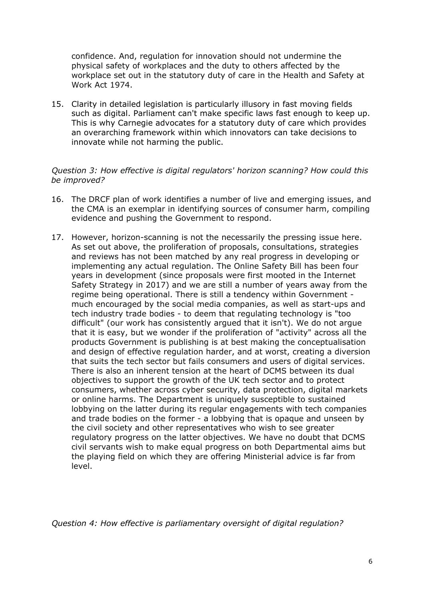confidence. And, regulation for innovation should not undermine the physical safety of workplaces and the duty to others affected by the workplace set out in the statutory duty of care in the Health and Safety at Work Act 1974.

15. Clarity in detailed legislation is particularly illusory in fast moving fields such as digital. Parliament can't make specific laws fast enough to keep up. This is why Carnegie advocates for a statutory duty of care which provides an overarching framework within which innovators can take decisions to innovate while not harming the public.

#### *Question 3: How effective is digital regulators' horizon scanning? How could this be improved?*

- 16. The DRCF plan of work identifies a number of live and emerging issues, and the CMA is an exemplar in identifying sources of consumer harm, compiling evidence and pushing the Government to respond.
- 17. However, horizon-scanning is not the necessarily the pressing issue here. As set out above, the proliferation of proposals, consultations, strategies and reviews has not been matched by any real progress in developing or implementing any actual regulation. The Online Safety Bill has been four years in development (since proposals were first mooted in the Internet Safety Strategy in 2017) and we are still a number of years away from the regime being operational. There is still a tendency within Government much encouraged by the social media companies, as well as start-ups and tech industry trade bodies - to deem that regulating technology is "too difficult" (our work has consistently argued that it isn't). We do not argue that it is easy, but we wonder if the proliferation of "activity" across all the products Government is publishing is at best making the conceptualisation and design of effective regulation harder, and at worst, creating a diversion that suits the tech sector but fails consumers and users of digital services. There is also an inherent tension at the heart of DCMS between its dual objectives to support the growth of the UK tech sector and to protect consumers, whether across cyber security, data protection, digital markets or online harms. The Department is uniquely susceptible to sustained lobbying on the latter during its regular engagements with tech companies and trade bodies on the former - a lobbying that is opaque and unseen by the civil society and other representatives who wish to see greater regulatory progress on the latter objectives. We have no doubt that DCMS civil servants wish to make equal progress on both Departmental aims but the playing field on which they are offering Ministerial advice is far from level.

*Question 4: How effective is parliamentary oversight of digital regulation?*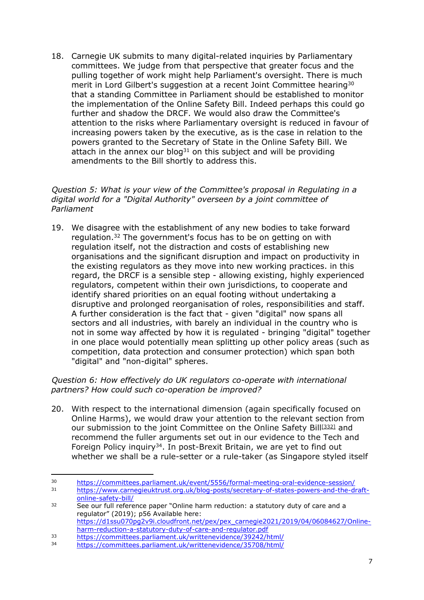18. Carnegie UK submits to many digital-related inquiries by Parliamentary committees. We judge from that perspective that greater focus and the pulling together of work might help Parliament's oversight. There is much merit in Lord Gilbert's suggestion at a recent Joint Committee hearing<sup>30</sup> that a standing Committee in Parliament should be established to monitor the implementation of the Online Safety Bill. Indeed perhaps this could go further and shadow the DRCF. We would also draw the Committee's attention to the risks where Parliamentary oversight is reduced in favour of increasing powers taken by the executive, as is the case in relation to the powers granted to the Secretary of State in the Online Safety Bill. We attach in the annex our blog<sup>31</sup> on this subject and will be providing amendments to the Bill shortly to address this.

### *Question 5: What is your view of the Committee's proposal in Regulating in a digital world for a "Digital Authority" overseen by a joint committee of Parliament*

19. We disagree with the establishment of any new bodies to take forward regulation.<sup>32</sup> The government's focus has to be on getting on with regulation itself, not the distraction and costs of establishing new organisations and the significant disruption and impact on productivity in the existing regulators as they move into new working practices. in this regard, the DRCF is a sensible step - allowing existing, highly experienced regulators, competent within their own jurisdictions, to cooperate and identify shared priorities on an equal footing without undertaking a disruptive and prolonged reorganisation of roles, responsibilities and staff. A further consideration is the fact that - given "digital" now spans all sectors and all industries, with barely an individual in the country who is not in some way affected by how it is regulated - bringing "digital" together in one place would potentially mean splitting up other policy areas (such as competition, data protection and consumer protection) which span both "digital" and "non-digital" spheres.

### *Question 6: How effectively do UK regulators co-operate with international partners? How could such co-operation be improved?*

20. With respect to the international dimension (again specifically focused on Online Harms), we would draw your attention to the relevant section from our submission to the joint Committee on the Online Safety Bill[\[332\]](undefined) and recommend the fuller arguments set out in our evidence to the Tech and Foreign Policy inquiry<sup>34</sup>. In post-Brexit Britain, we are yet to find out whether we shall be a rule-setter or a rule-taker (as Singapore styled itself

<sup>30</sup> <https://committees.parliament.uk/event/5556/formal-meeting-oral-evidence-session/>

<sup>31</sup> [https://www.carnegieuktrust.org.uk/blog-posts/secretary-of-states-powers-and-the-draft](https://www.carnegieuktrust.org.uk/blog-posts/secretary-of-states-powers-and-the-draft-online-safety-bill/)[online-safety-bill/](https://www.carnegieuktrust.org.uk/blog-posts/secretary-of-states-powers-and-the-draft-online-safety-bill/)

<sup>32</sup> See our full reference paper "Online harm reduction: a statutory duty of care and a regulator" (2019); p56 Available here: [https://d1ssu070pg2v9i.cloudfront.net/pex/pex\\_carnegie2021/2019/04/06084627/Online](https://d1ssu070pg2v9i.cloudfront.net/pex/pex_carnegie2021/2019/04/06084627/Online-harm-reduction-a-statutory-duty-of-care-and-regulator.pdf)[harm-reduction-a-statutory-duty-of-care-and-regulator.pdf](https://d1ssu070pg2v9i.cloudfront.net/pex/pex_carnegie2021/2019/04/06084627/Online-harm-reduction-a-statutory-duty-of-care-and-regulator.pdf)

<sup>33</sup> <https://committees.parliament.uk/writtenevidence/39242/html/><br>34 https://committees.parliament.uk/writtenevidence/35708/html/ <https://committees.parliament.uk/writtenevidence/35708/html/>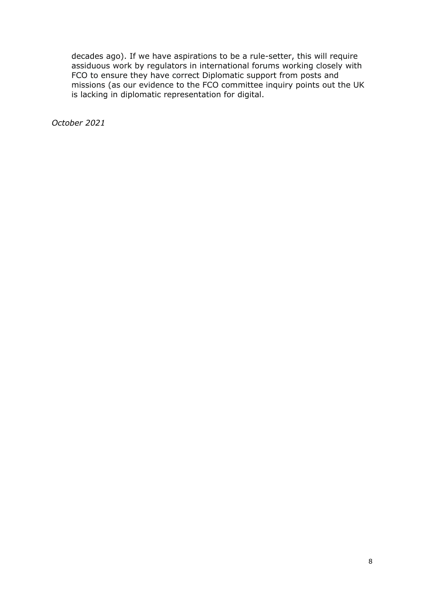decades ago). If we have aspirations to be a rule-setter, this will require assiduous work by regulators in international forums working closely with FCO to ensure they have correct Diplomatic support from posts and missions (as our evidence to the FCO committee inquiry points out the UK is lacking in diplomatic representation for digital.

*October 2021*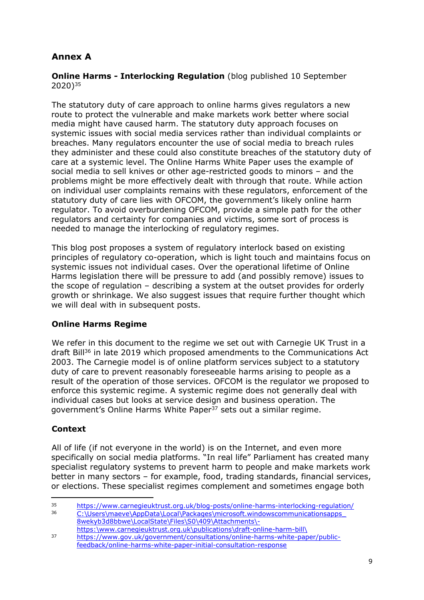# **Annex A**

**Online Harms - Interlocking Regulation** (blog published 10 September 2020)<sup>35</sup>

The statutory duty of care approach to online harms gives regulators a new route to protect the vulnerable and make markets work better where social media might have caused harm. The statutory duty approach focuses on systemic issues with social media services rather than individual complaints or breaches. Many regulators encounter the use of social media to breach rules they administer and these could also constitute breaches of the statutory duty of care at a systemic level. The Online Harms White Paper uses the example of social media to sell knives or other age-restricted goods to minors – and the problems might be more effectively dealt with through that route. While action on individual user complaints remains with these regulators, enforcement of the statutory duty of care lies with OFCOM, the government's likely online harm regulator. To avoid overburdening OFCOM, provide a simple path for the other regulators and certainty for companies and victims, some sort of process is needed to manage the interlocking of regulatory regimes.

This blog post proposes a system of regulatory interlock based on existing principles of regulatory co-operation, which is light touch and maintains focus on systemic issues not individual cases. Over the operational lifetime of Online Harms legislation there will be pressure to add (and possibly remove) issues to the scope of regulation – describing a system at the outset provides for orderly growth or shrinkage. We also suggest issues that require further thought which we will deal with in subsequent posts.

## **Online Harms Regime**

We refer in this document to the regime we set out with Carnegie UK Trust in a draft Bill<sup>36</sup> in late 2019 which proposed amendments to the Communications Act 2003. The Carnegie model is of online platform services subject to a statutory duty of care to prevent reasonably foreseeable harms arising to people as a result of the operation of those services. OFCOM is the regulator we proposed to enforce this systemic regime. A systemic regime does not generally deal with individual cases but looks at service design and business operation. The government's Online Harms White Paper<sup>37</sup> sets out a similar regime.

## **Context**

All of life (if not everyone in the world) is on the Internet, and even more specifically on social media platforms. "In real life" Parliament has created many specialist regulatory systems to prevent harm to people and make markets work better in many sectors – for example, food, trading standards, financial services, or elections. These specialist regimes complement and sometimes engage both

<sup>36</sup> [C:\Users\maeve\AppData\Local\Packages\microsoft.windowscommunicationsapps\\_](file:///C:/Users/maeve/AppData/Local/Packages/microsoft.windowscommunicationsapps_8wekyb3d8bbwe/LocalState/Files/S0/409/Attachments/-%20https:/www.carnegieuktrust.org.uk/publications/draft-online-harm-bill/) [8wekyb3d8bbwe\LocalState\Files\S0\409\Attachments\](file:///C:/Users/maeve/AppData/Local/Packages/microsoft.windowscommunicationsapps_8wekyb3d8bbwe/LocalState/Files/S0/409/Attachments/-%20https:/www.carnegieuktrust.org.uk/publications/draft-online-harm-bill/) [https:\www.carnegieuktrust.org.uk\publications\draft-online-harm-bill\](file:///C:/Users/maeve/AppData/Local/Packages/microsoft.windowscommunicationsapps_8wekyb3d8bbwe/LocalState/Files/S0/409/Attachments/-%20https:/www.carnegieuktrust.org.uk/publications/draft-online-harm-bill/)

<sup>35</sup> <https://www.carnegieuktrust.org.uk/blog-posts/online-harms-interlocking-regulation/><br>36 Cillions magyar (AppData) Local Backages microsoft windowscommunicationsapps

<sup>37</sup> [https://www.gov.uk/government/consultations/online-harms-white-paper/public](https://www.gov.uk/government/consultations/online-harms-white-paper/public-feedback/online-harms-white-paper-initial-consultation-response)[feedback/online-harms-white-paper-initial-consultation-response](https://www.gov.uk/government/consultations/online-harms-white-paper/public-feedback/online-harms-white-paper-initial-consultation-response)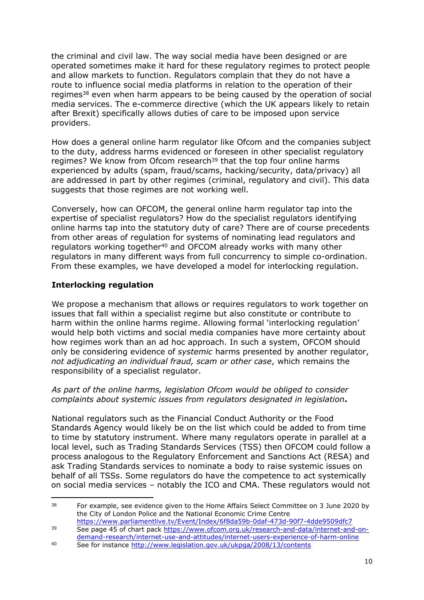the criminal and civil law. The way social media have been designed or are operated sometimes make it hard for these regulatory regimes to protect people and allow markets to function. Regulators complain that they do not have a route to influence social media platforms in relation to the operation of their regimes<sup>38</sup> even when harm appears to be being caused by the operation of social media services. The e-commerce directive (which the UK appears likely to retain after Brexit) specifically allows duties of care to be imposed upon service providers.

How does a general online harm regulator like Ofcom and the companies subject to the duty, address harms evidenced or foreseen in other specialist regulatory regimes? We know from Ofcom research<sup>39</sup> that the top four online harms experienced by adults (spam, fraud/scams, hacking/security, data/privacy) all are addressed in part by other regimes (criminal, regulatory and civil). This data suggests that those regimes are not working well.

Conversely, how can OFCOM, the general online harm regulator tap into the expertise of specialist regulators? How do the specialist regulators identifying online harms tap into the statutory duty of care? There are of course precedents from other areas of regulation for systems of nominating lead regulators and regulators working together<sup>40</sup> and OFCOM already works with many other regulators in many different ways from full concurrency to simple co-ordination. From these examples, we have developed a model for interlocking regulation.

## **Interlocking regulation**

We propose a mechanism that allows or requires regulators to work together on issues that fall within a specialist regime but also constitute or contribute to harm within the online harms regime. Allowing formal 'interlocking regulation' would help both victims and social media companies have more certainty about how regimes work than an ad hoc approach. In such a system, OFCOM should only be considering evidence of *systemic* harms presented by another regulator, *not adjudicating an individual fraud, scam or other case*, which remains the responsibility of a specialist regulator.

### *As part of the online harms, legislation Ofcom would be obliged to consider complaints about systemic issues from regulators designated in legislation***.**

National regulators such as the Financial Conduct Authority or the Food Standards Agency would likely be on the list which could be added to from time to time by statutory instrument. Where many regulators operate in parallel at a local level, such as Trading Standards Services (TSS) then OFCOM could follow a process analogous to the Regulatory Enforcement and Sanctions Act (RESA) and ask Trading Standards services to nominate a body to raise systemic issues on behalf of all TSSs. Some regulators do have the competence to act systemically on social media services – notably the ICO and CMA. These regulators would not

<sup>&</sup>lt;sup>38</sup> For example, see evidence given to the Home Affairs Select Committee on 3 June 2020 by the City of London Police and the National Economic Crime Centre

<https://www.parliamentlive.tv/Event/Index/6f8da59b-0daf-473d-90f7-4dde9509dfc7> <sup>39</sup> See page 45 of chart pack [https://www.ofcom.org.uk/research-and-data/internet-and-on](https://www.ofcom.org.uk/research-and-data/internet-and-on-demand-research/internet-use-and-attitudes/internet-users-experience-of-harm-online)[demand-research/internet-use-and-attitudes/internet-users-experience-of-harm-online](https://www.ofcom.org.uk/research-and-data/internet-and-on-demand-research/internet-use-and-attitudes/internet-users-experience-of-harm-online)

<sup>40</sup> See for instance <http://www.legislation.gov.uk/ukpga/2008/13/contents>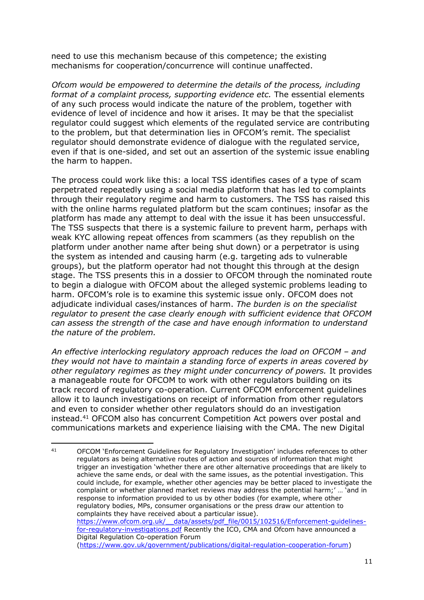need to use this mechanism because of this competence; the existing mechanisms for cooperation/concurrence will continue unaffected.

*Ofcom would be empowered to determine the details of the process, including format of a complaint process, supporting evidence etc.* The essential elements of any such process would indicate the nature of the problem, together with evidence of level of incidence and how it arises. It may be that the specialist regulator could suggest which elements of the regulated service are contributing to the problem, but that determination lies in OFCOM's remit. The specialist regulator should demonstrate evidence of dialogue with the regulated service, even if that is one-sided, and set out an assertion of the systemic issue enabling the harm to happen.

The process could work like this: a local TSS identifies cases of a type of scam perpetrated repeatedly using a social media platform that has led to complaints through their regulatory regime and harm to customers. The TSS has raised this with the online harms regulated platform but the scam continues; insofar as the platform has made any attempt to deal with the issue it has been unsuccessful. The TSS suspects that there is a systemic failure to prevent harm, perhaps with weak KYC allowing repeat offences from scammers (as they republish on the platform under another name after being shut down) or a perpetrator is using the system as intended and causing harm (e.g. targeting ads to vulnerable groups), but the platform operator had not thought this through at the design stage. The TSS presents this in a dossier to OFCOM through the nominated route to begin a dialogue with OFCOM about the alleged systemic problems leading to harm. OFCOM's role is to examine this systemic issue only. OFCOM does not adjudicate individual cases/instances of harm. *The burden is on the specialist regulator to present the case clearly enough with sufficient evidence that OFCOM can assess the strength of the case and have enough information to understand the nature of the problem.*

*An effective interlocking regulatory approach reduces the load on OFCOM – and they would not have to maintain a standing force of experts in areas covered by other regulatory regimes as they might under concurrency of powers.* It provides a manageable route for OFCOM to work with other regulators building on its track record of regulatory co-operation. Current OFCOM enforcement guidelines allow it to launch investigations on receipt of information from other regulators and even to consider whether other regulators should do an investigation instead.<sup>41</sup> OFCOM also has concurrent Competition Act powers over postal and communications markets and experience liaising with the CMA. The new Digital

<sup>41</sup> OFCOM 'Enforcement Guidelines for Regulatory Investigation' includes references to other regulators as being alternative routes of action and sources of information that might trigger an investigation 'whether there are other alternative proceedings that are likely to achieve the same ends, or deal with the same issues, as the potential investigation. This could include, for example, whether other agencies may be better placed to investigate the complaint or whether planned market reviews may address the potential harm;' … 'and in response to information provided to us by other bodies (for example, where other regulatory bodies, MPs, consumer organisations or the press draw our attention to complaints they have received about a particular issue). [https://www.ofcom.org.uk/\\_\\_data/assets/pdf\\_file/0015/102516/Enforcement-guidelines](https://www.ofcom.org.uk/__data/assets/pdf_file/0015/102516/Enforcement-guidelines-for-regulatory-investigations.pdf)[for-regulatory-investigations.pdf](https://www.ofcom.org.uk/__data/assets/pdf_file/0015/102516/Enforcement-guidelines-for-regulatory-investigations.pdf) Recently the ICO, CMA and Ofcom have announced a Digital Regulation Co-operation Forum [\(https://www.gov.uk/government/publications/digital-regulation-cooperation-forum\)](https://www.gov.uk/government/publications/digital-regulation-cooperation-forum)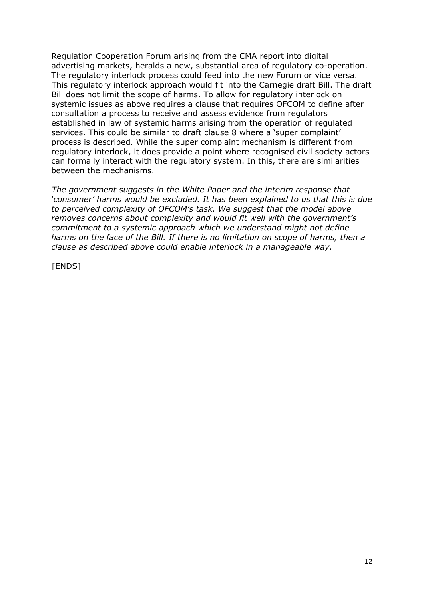Regulation Cooperation Forum arising from the CMA report into digital advertising markets, heralds a new, substantial area of regulatory co-operation. The regulatory interlock process could feed into the new Forum or vice versa. This regulatory interlock approach would fit into the Carnegie draft Bill. The draft Bill does not limit the scope of harms. To allow for regulatory interlock on systemic issues as above requires a clause that requires OFCOM to define after consultation a process to receive and assess evidence from regulators established in law of systemic harms arising from the operation of regulated services. This could be similar to draft clause 8 where a 'super complaint' process is described. While the super complaint mechanism is different from regulatory interlock, it does provide a point where recognised civil society actors can formally interact with the regulatory system. In this, there are similarities between the mechanisms.

*The government suggests in the White Paper and the interim response that 'consumer' harms would be excluded. It has been explained to us that this is due to perceived complexity of OFCOM's task. We suggest that the model above removes concerns about complexity and would fit well with the government's commitment to a systemic approach which we understand might not define harms on the face of the Bill. If there is no limitation on scope of harms, then a clause as described above could enable interlock in a manageable way.*

[ENDS]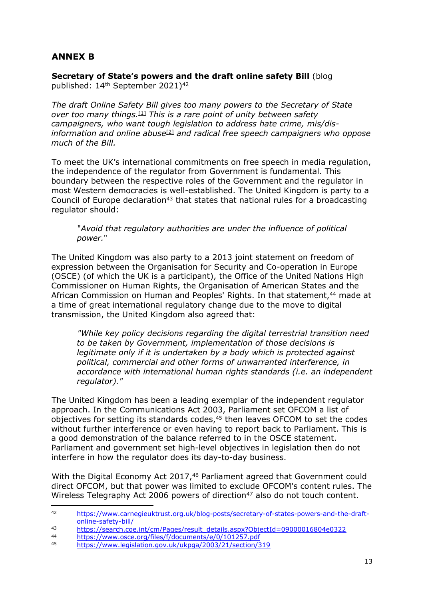## **ANNEX B**

**Secretary of State's powers and the draft online safety Bill** (blog published: 14th September 2021)<sup>42</sup>

*The draft Online Safety Bill gives too many powers to the Secretary of State over too many things.*[1] *This is a rare point of unity between safety campaigners, who want tough legislation to address hate crime, mis/disinformation and online abuse*[2] *and radical free speech campaigners who oppose much of the Bill.*

To meet the UK's international commitments on free speech in media regulation, the independence of the regulator from Government is fundamental. This boundary between the respective roles of the Government and the regulator in most Western democracies is well-established. The United Kingdom is party to a Council of Europe declaration<sup>43</sup> that states that national rules for a broadcasting regulator should:

"*Avoid that regulatory authorities are under the influence of political power.*"

The United Kingdom was also party to a 2013 joint statement on freedom of expression between the Organisation for Security and Co-operation in Europe (OSCE) (of which the UK is a participant), the Office of the United Nations High Commissioner on Human Rights, the Organisation of American States and the African Commission on Human and Peoples' Rights. In that statement, <sup>44</sup> made at a time of great international regulatory change due to the move to digital transmission, the United Kingdom also agreed that:

*"While key policy decisions regarding the digital terrestrial transition need to be taken by Government, implementation of those decisions is legitimate only if it is undertaken by a body which is protected against political, commercial and other forms of unwarranted interference, in accordance with international human rights standards (i.e. an independent regulator)."*

The United Kingdom has been a leading exemplar of the independent regulator approach. In the Communications Act 2003, Parliament set OFCOM a list of objectives for setting its standards codes, <sup>45</sup> then leaves OFCOM to set the codes without further interference or even having to report back to Parliament. This is a good demonstration of the balance referred to in the OSCE statement. Parliament and government set high-level objectives in legislation then do not interfere in how the regulator does its day-to-day business.

With the Digital Economy Act 2017,<sup>46</sup> Parliament agreed that Government could direct OFCOM, but that power was limited to exclude OFCOM's content rules. The Wireless Telegraphy Act 2006 powers of direction<sup>47</sup> also do not touch content.

<sup>42</sup> [https://www.carnegieuktrust.org.uk/blog-posts/secretary-of-states-powers-and-the-draft](https://www.carnegieuktrust.org.uk/blog-posts/secretary-of-states-powers-and-the-draft-online-safety-bill/)[online-safety-bill/](https://www.carnegieuktrust.org.uk/blog-posts/secretary-of-states-powers-and-the-draft-online-safety-bill/)

<sup>43&</sup>lt;br>[https://search.coe.int/cm/Pages/result\\_details.aspx?ObjectId=09000016804e0322](https://search.coe.int/cm/Pages/result_details.aspx?ObjectId=09000016804e0322)

<sup>44</sup> <https://www.osce.org/files/f/documents/e/0/101257.pdf><br>45 https://www.logiclation.gov.uk/ukpgs/2002/21/section/2

<sup>45</sup> <https://www.legislation.gov.uk/ukpga/2003/21/section/319>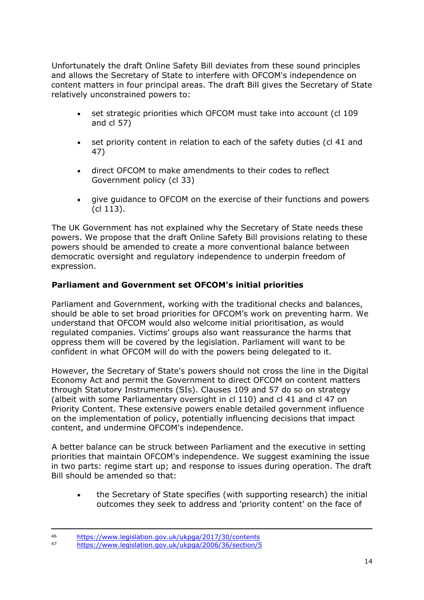Unfortunately the draft Online Safety Bill deviates from these sound principles and allows the Secretary of State to interfere with OFCOM's independence on content matters in four principal areas. The draft Bill gives the Secretary of State relatively unconstrained powers to:

- set strategic priorities which OFCOM must take into account (cl 109 and cl 57)
- set priority content in relation to each of the safety duties (cl 41 and 47)
- direct OFCOM to make amendments to their codes to reflect Government policy (cl 33)
- give guidance to OFCOM on the exercise of their functions and powers (cl 113).

The UK Government has not explained why the Secretary of State needs these powers. We propose that the draft Online Safety Bill provisions relating to these powers should be amended to create a more conventional balance between democratic oversight and regulatory independence to underpin freedom of expression.

## **Parliament and Government set OFCOM's initial priorities**

Parliament and Government, working with the traditional checks and balances, should be able to set broad priorities for OFCOM's work on preventing harm. We understand that OFCOM would also welcome initial prioritisation, as would regulated companies. Victims' groups also want reassurance the harms that oppress them will be covered by the legislation. Parliament will want to be confident in what OFCOM will do with the powers being delegated to it.

However, the Secretary of State's powers should not cross the line in the Digital Economy Act and permit the Government to direct OFCOM on content matters through Statutory Instruments (SIs). Clauses 109 and 57 do so on strategy (albeit with some Parliamentary oversight in cl 110) and cl 41 and cl 47 on Priority Content. These extensive powers enable detailed government influence on the implementation of policy, potentially influencing decisions that impact content, and undermine OFCOM's independence.

A better balance can be struck between Parliament and the executive in setting priorities that maintain OFCOM's independence. We suggest examining the issue in two parts: regime start up; and response to issues during operation. The draft Bill should be amended so that:

 the Secretary of State specifies (with supporting research) the initial outcomes they seek to address and 'priority content' on the face of

<sup>46</sup> <https://www.legislation.gov.uk/ukpga/2017/30/contents><br>47 https://www.legislation.gov.uk/ukpga/2006/26/section/E

<sup>47</sup> <https://www.legislation.gov.uk/ukpga/2006/36/section/5>